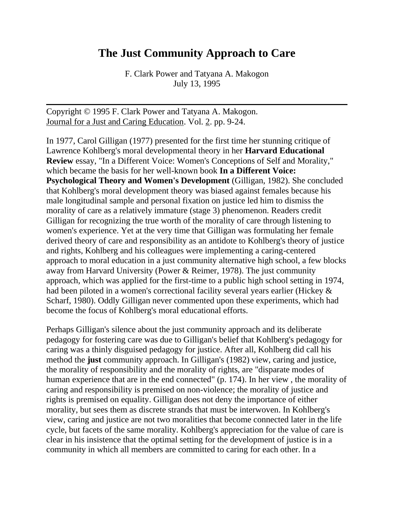# **The Just Community Approach to Care**

F. Clark Power and Tatyana A. Makogon July 13, 1995

Copyright © 1995 F. Clark Power and Tatyana A. Makogon. Journal for a Just and Caring Education. Vol. 2. pp. 9-24.

In 1977, Carol Gilligan (1977) presented for the first time her stunning critique of Lawrence Kohlberg's moral developmental theory in her **Harvard Educational Review** essay, "In a Different Voice: Women's Conceptions of Self and Morality," which became the basis for her well-known book **In a Different Voice: Psychological Theory and Women's Development** (Gilligan, 1982). She concluded that Kohlberg's moral development theory was biased against females because his male longitudinal sample and personal fixation on justice led him to dismiss the morality of care as a relatively immature (stage 3) phenomenon. Readers credit Gilligan for recognizing the true worth of the morality of care through listening to women's experience. Yet at the very time that Gilligan was formulating her female derived theory of care and responsibility as an antidote to Kohlberg's theory of justice and rights, Kohlberg and his colleagues were implementing a caring-centered approach to moral education in a just community alternative high school, a few blocks away from Harvard University (Power & Reimer, 1978). The just community approach, which was applied for the first-time to a public high school setting in 1974, had been piloted in a women's correctional facility several years earlier (Hickey & Scharf, 1980). Oddly Gilligan never commented upon these experiments, which had become the focus of Kohlberg's moral educational efforts.

Perhaps Gilligan's silence about the just community approach and its deliberate pedagogy for fostering care was due to Gilligan's belief that Kohlberg's pedagogy for caring was a thinly disguised pedagogy for justice. After all, Kohlberg did call his method the **just** community approach. In Gilligan's (1982) view, caring and justice, the morality of responsibility and the morality of rights, are "disparate modes of human experience that are in the end connected" (p. 174). In her view , the morality of caring and responsibility is premised on non-violence; the morality of justice and rights is premised on equality. Gilligan does not deny the importance of either morality, but sees them as discrete strands that must be interwoven. In Kohlberg's view, caring and justice are not two moralities that become connected later in the life cycle, but facets of the same morality. Kohlberg's appreciation for the value of care is clear in his insistence that the optimal setting for the development of justice is in a community in which all members are committed to caring for each other. In a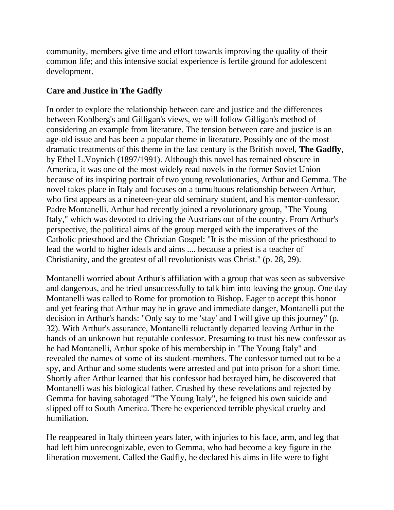community, members give time and effort towards improving the quality of their common life; and this intensive social experience is fertile ground for adolescent development.

# **Care and Justice in The Gadfly**

In order to explore the relationship between care and justice and the differences between Kohlberg's and Gilligan's views, we will follow Gilligan's method of considering an example from literature. The tension between care and justice is an age-old issue and has been a popular theme in literature. Possibly one of the most dramatic treatments of this theme in the last century is the British novel, **The Gadfly**, by Ethel L.Voynich (1897/1991). Although this novel has remained obscure in America, it was one of the most widely read novels in the former Soviet Union because of its inspiring portrait of two young revolutionaries, Arthur and Gemma. The novel takes place in Italy and focuses on a tumultuous relationship between Arthur, who first appears as a nineteen-year old seminary student, and his mentor-confessor, Padre Montanelli. Arthur had recently joined a revolutionary group, "The Young Italy," which was devoted to driving the Austrians out of the country. From Arthur's perspective, the political aims of the group merged with the imperatives of the Catholic priesthood and the Christian Gospel: "It is the mission of the priesthood to lead the world to higher ideals and aims .... because a priest is a teacher of Christianity, and the greatest of all revolutionists was Christ." (p. 28, 29).

Montanelli worried about Arthur's affiliation with a group that was seen as subversive and dangerous, and he tried unsuccessfully to talk him into leaving the group. One day Montanelli was called to Rome for promotion to Bishop. Eager to accept this honor and yet fearing that Arthur may be in grave and immediate danger, Montanelli put the decision in Arthur's hands: "Only say to me 'stay' and I will give up this journey" (p. 32). With Arthur's assurance, Montanelli reluctantly departed leaving Arthur in the hands of an unknown but reputable confessor. Presuming to trust his new confessor as he had Montanelli, Arthur spoke of his membership in "The Young Italy" and revealed the names of some of its student-members. The confessor turned out to be a spy, and Arthur and some students were arrested and put into prison for a short time. Shortly after Arthur learned that his confessor had betrayed him, he discovered that Montanelli was his biological father. Crushed by these revelations and rejected by Gemma for having sabotaged "The Young Italy", he feigned his own suicide and slipped off to South America. There he experienced terrible physical cruelty and humiliation.

He reappeared in Italy thirteen years later, with injuries to his face, arm, and leg that had left him unrecognizable, even to Gemma, who had become a key figure in the liberation movement. Called the Gadfly, he declared his aims in life were to fight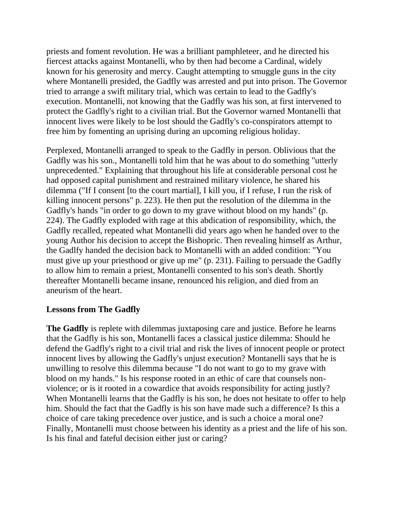priests and foment revolution. He was a brilliant pamphleteer, and he directed his fiercest attacks against Montanelli, who by then had become a Cardinal, widely known for his generosity and mercy. Caught attempting to smuggle guns in the city where Montanelli presided, the Gadfly was arrested and put into prison. The Governor tried to arrange a swift military trial, which was certain to lead to the Gadfly's execution. Montanelli, not knowing that the Gadfly was his son, at first intervened to protect the Gadfly's right to a civilian trial. But the Governor warned Montanelli that innocent lives were likely to be lost should the Gadfly's co-conspirators attempt to free him by fomenting an uprising during an upcoming religious holiday.

Perplexed, Montanelli arranged to speak to the Gadfly in person. Oblivious that the Gadfly was his son., Montanelli told him that he was about to do something "utterly unprecedented." Explaining that throughout his life at considerable personal cost he had opposed capital punishment and restrained military violence, he shared his dilemma ("If I consent [to the court martial], I kill you, if I refuse, I run the risk of killing innocent persons" p. 223). He then put the resolution of the dilemma in the Gadfly's hands "in order to go down to my grave without blood on my hands" (p. 224). The Gadfly exploded with rage at this abdication of responsibility, which, the Gadfly recalled, repeated what Montanelli did years ago when he handed over to the young Author his decision to accept the Bishopric. Then revealing himself as Arthur, the Gadlfy handed the decision back to Montanelli with an added condition: "You must give up your priesthood or give up me" (p. 231). Failing to persuade the Gadfly to allow him to remain a priest, Montanelli consented to his son's death. Shortly thereafter Montanelli became insane, renounced his religion, and died from an aneurism of the heart.

#### **Lessons from The Gadfly**

**The Gadfly** is replete with dilemmas juxtaposing care and justice. Before he learns that the Gadfly is his son, Montanelli faces a classical justice dilemma: Should he defend the Gadfly's right to a civil trial and risk the lives of innocent people or protect innocent lives by allowing the Gadfly's unjust execution? Montanelli says that he is unwilling to resolve this dilemma because "I do not want to go to my grave with blood on my hands." Is his response rooted in an ethic of care that counsels nonviolence; or is it rooted in a cowardice that avoids responsibility for acting justly? When Montanelli learns that the Gadfly is his son, he does not hesitate to offer to help him. Should the fact that the Gadfly is his son have made such a difference? Is this a choice of care taking precedence over justice, and is such a choice a moral one? Finally, Montanelli must choose between his identity as a priest and the life of his son. Is his final and fateful decision either just or caring?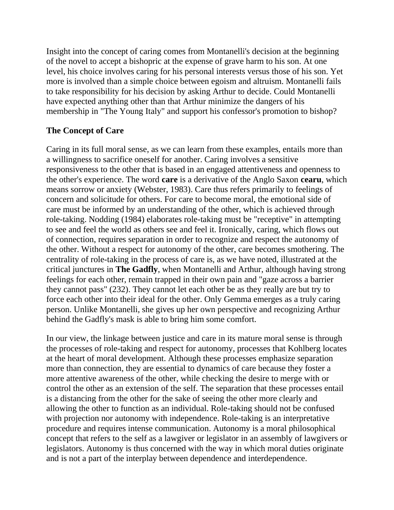Insight into the concept of caring comes from Montanelli's decision at the beginning of the novel to accept a bishopric at the expense of grave harm to his son. At one level, his choice involves caring for his personal interests versus those of his son. Yet more is involved than a simple choice between egoism and altruism. Montanelli fails to take responsibility for his decision by asking Arthur to decide. Could Montanelli have expected anything other than that Arthur minimize the dangers of his membership in "The Young Italy" and support his confessor's promotion to bishop?

# **The Concept of Care**

Caring in its full moral sense, as we can learn from these examples, entails more than a willingness to sacrifice oneself for another. Caring involves a sensitive responsiveness to the other that is based in an engaged attentiveness and openness to the other's experience. The word **care** is a derivative of the Anglo Saxon **cearu**, which means sorrow or anxiety (Webster, 1983). Care thus refers primarily to feelings of concern and solicitude for others. For care to become moral, the emotional side of care must be informed by an understanding of the other, which is achieved through role-taking. Nodding (1984) elaborates role-taking must be "receptive" in attempting to see and feel the world as others see and feel it. Ironically, caring, which flows out of connection, requires separation in order to recognize and respect the autonomy of the other. Without a respect for autonomy of the other, care becomes smothering. The centrality of role-taking in the process of care is, as we have noted, illustrated at the critical junctures in **The Gadfly**, when Montanelli and Arthur, although having strong feelings for each other, remain trapped in their own pain and "gaze across a barrier they cannot pass" (232). They cannot let each other be as they really are but try to force each other into their ideal for the other. Only Gemma emerges as a truly caring person. Unlike Montanelli, she gives up her own perspective and recognizing Arthur behind the Gadfly's mask is able to bring him some comfort.

In our view, the linkage between justice and care in its mature moral sense is through the processes of role-taking and respect for autonomy, processes that Kohlberg locates at the heart of moral development. Although these processes emphasize separation more than connection, they are essential to dynamics of care because they foster a more attentive awareness of the other, while checking the desire to merge with or control the other as an extension of the self. The separation that these processes entail is a distancing from the other for the sake of seeing the other more clearly and allowing the other to function as an individual. Role-taking should not be confused with projection nor autonomy with independence. Role-taking is an interpretative procedure and requires intense communication. Autonomy is a moral philosophical concept that refers to the self as a lawgiver or legislator in an assembly of lawgivers or legislators. Autonomy is thus concerned with the way in which moral duties originate and is not a part of the interplay between dependence and interdependence.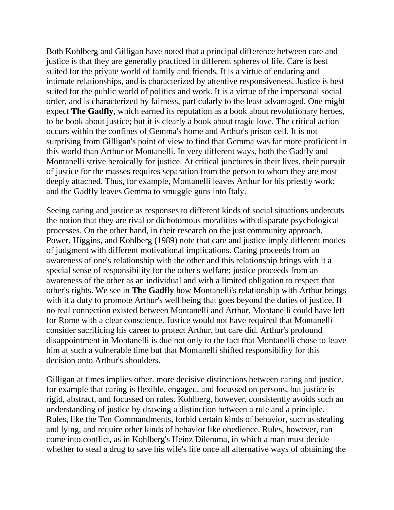Both Kohlberg and Gilligan have noted that a principal difference between care and justice is that they are generally practiced in different spheres of life. Care is best suited for the private world of family and friends. It is a virtue of enduring and intimate relationships, and is characterized by attentive responsiveness. Justice is best suited for the public world of politics and work. It is a virtue of the impersonal social order, and is characterized by fairness, particularly to the least advantaged. One might expect **The Gadfly**, which earned its reputation as a book about revolutionary heroes, to be book about justice; but it is clearly a book about tragic love. The critical action occurs within the confines of Gemma's home and Arthur's prison cell. It is not surprising from Gilligan's point of view to find that Gemma was far more proficient in this world than Arthur or Montanelli. In very different ways, both the Gadfly and Montanelli strive heroically for justice. At critical junctures in their lives, their pursuit of justice for the masses requires separation from the person to whom they are most deeply attached. Thus, for example, Montanelli leaves Arthur for his priestly work; and the Gadfly leaves Gemma to smuggle guns into Italy.

Seeing caring and justice as responses to different kinds of social situations undercuts the notion that they are rival or dichotomous moralities with disparate psychological processes. On the other hand, in their research on the just community approach, Power, Higgins, and Kohlberg (1989) note that care and justice imply different modes of judgment with different motivational implications. Caring proceeds from an awareness of one's relationship with the other and this relationship brings with it a special sense of responsibility for the other's welfare; justice proceeds from an awareness of the other as an individual and with a limited obligation to respect that other's rights. We see in **The Gadfly** how Montanelli's relationship with Arthur brings with it a duty to promote Arthur's well being that goes beyond the duties of justice. If no real connection existed between Montanelli and Arthur, Montanelli could have left for Rome with a clear conscience. Justice would not have required that Montanelli consider sacrificing his career to protect Arthur, but care did. Arthur's profound disappointment in Montanelli is due not only to the fact that Montanelli chose to leave him at such a vulnerable time but that Montanelli shifted responsibility for this decision onto Arthur's shoulders.

Gilligan at times implies other. more decisive distinctions between caring and justice, for example that caring is flexible, engaged, and focussed on persons, but justice is rigid, abstract, and focussed on rules. Kohlberg, however, consistently avoids such an understanding of justice by drawing a distinction between a rule and a principle. Rules, like the Ten Commandments, forbid certain kinds of behavior, such as stealing and lying, and require other kinds of behavior like obedience. Rules, however, can come into conflict, as in Kohlberg's Heinz Dilemma, in which a man must decide whether to steal a drug to save his wife's life once all alternative ways of obtaining the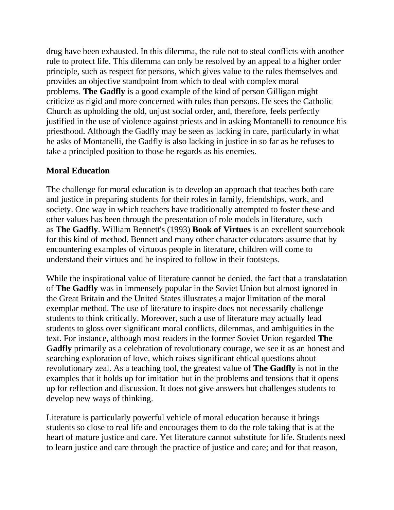drug have been exhausted. In this dilemma, the rule not to steal conflicts with another rule to protect life. This dilemma can only be resolved by an appeal to a higher order principle, such as respect for persons, which gives value to the rules themselves and provides an objective standpoint from which to deal with complex moral problems. **The Gadfly** is a good example of the kind of person Gilligan might criticize as rigid and more concerned with rules than persons. He sees the Catholic Church as upholding the old, unjust social order, and, therefore, feels perfectly justified in the use of violence against priests and in asking Montanelli to renounce his priesthood. Although the Gadfly may be seen as lacking in care, particularly in what he asks of Montanelli, the Gadfly is also lacking in justice in so far as he refuses to take a principled position to those he regards as his enemies.

## **Moral Education**

The challenge for moral education is to develop an approach that teaches both care and justice in preparing students for their roles in family, friendships, work, and society. One way in which teachers have traditionally attempted to foster these and other values has been through the presentation of role models in literature, such as **The Gadfly**. William Bennett's (1993) **Book of Virtues** is an excellent sourcebook for this kind of method. Bennett and many other character educators assume that by encountering examples of virtuous people in literature, children will come to understand their virtues and be inspired to follow in their footsteps.

While the inspirational value of literature cannot be denied, the fact that a translatation of **The Gadfly** was in immensely popular in the Soviet Union but almost ignored in the Great Britain and the United States illustrates a major limitation of the moral exemplar method. The use of literature to inspire does not necessarily challenge students to think critically. Moreover, such a use of literature may actually lead students to gloss over significant moral conflicts, dilemmas, and ambiguities in the text. For instance, although most readers in the former Soviet Union regarded **The**  Gadfly primarily as a celebration of revolutionary courage, we see it as an honest and searching exploration of love, which raises significant ehtical questions about revolutionary zeal. As a teaching tool, the greatest value of **The Gadfly** is not in the examples that it holds up for imitation but in the problems and tensions that it opens up for reflection and discussion. It does not give answers but challenges students to develop new ways of thinking.

Literature is particularly powerful vehicle of moral education because it brings students so close to real life and encourages them to do the role taking that is at the heart of mature justice and care. Yet literature cannot substitute for life. Students need to learn justice and care through the practice of justice and care; and for that reason,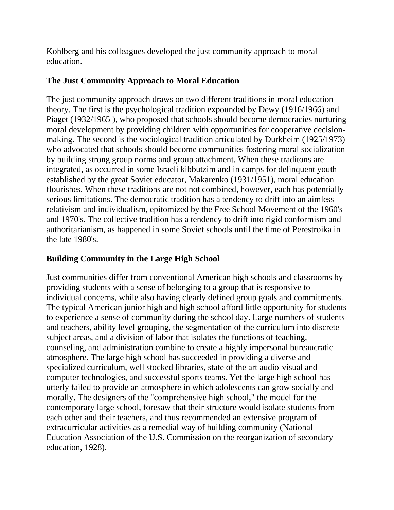Kohlberg and his colleagues developed the just community approach to moral education.

# **The Just Community Approach to Moral Education**

The just community approach draws on two different traditions in moral education theory. The first is the psychological tradition expounded by Dewy (1916/1966) and Piaget (1932/1965), who proposed that schools should become democracies nurturing moral development by providing children with opportunities for cooperative decisionmaking. The second is the sociological tradition articulated by Durkheim (1925/1973) who advocated that schools should become communities fostering moral socialization by building strong group norms and group attachment. When these traditons are integrated, as occurred in some Israeli kibbutzim and in camps for delinquent youth established by the great Soviet educator, Makarenko (1931/1951), moral education flourishes. When these traditions are not not combined, however, each has potentially serious limitations. The democratic tradition has a tendency to drift into an aimless relativism and individualism, epitomized by the Free School Movement of the 1960's and 1970's. The collective tradition has a tendency to drift into rigid conformism and authoritarianism, as happened in some Soviet schools until the time of Perestroika in the late 1980's.

# **Building Community in the Large High School**

Just communities differ from conventional American high schools and classrooms by providing students with a sense of belonging to a group that is responsive to individual concerns, while also having clearly defined group goals and commitments. The typical American junior high and high school afford little opportunity for students to experience a sense of community during the school day. Large numbers of students and teachers, ability level grouping, the segmentation of the curriculum into discrete subject areas, and a division of labor that isolates the functions of teaching, counseling, and administration combine to create a highly impersonal bureaucratic atmosphere. The large high school has succeeded in providing a diverse and specialized curriculum, well stocked libraries, state of the art audio-visual and computer technologies, and successful sports teams. Yet the large high school has utterly failed to provide an atmosphere in which adolescents can grow socially and morally. The designers of the "comprehensive high school," the model for the contemporary large school, foresaw that their structure would isolate students from each other and their teachers, and thus recommended an extensive program of extracurricular activities as a remedial way of building community (National Education Association of the U.S. Commission on the reorganization of secondary education, 1928).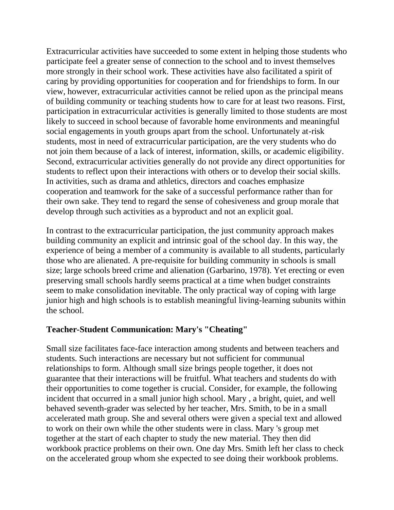Extracurricular activities have succeeded to some extent in helping those students who participate feel a greater sense of connection to the school and to invest themselves more strongly in their school work. These activities have also facilitated a spirit of caring by providing opportunities for cooperation and for friendships to form. In our view, however, extracurricular activities cannot be relied upon as the principal means of building community or teaching students how to care for at least two reasons. First, participation in extracurricular activities is generally limited to those students are most likely to succeed in school because of favorable home environments and meaningful social engagements in youth groups apart from the school. Unfortunately at-risk students, most in need of extracurricular participation, are the very students who do not join them because of a lack of interest, information, skills, or academic eligibility. Second, extracurricular activities generally do not provide any direct opportunities for students to reflect upon their interactions with others or to develop their social skills. In activities, such as drama and athletics, directors and coaches emphasize cooperation and teamwork for the sake of a successful performance rather than for their own sake. They tend to regard the sense of cohesiveness and group morale that develop through such activities as a byproduct and not an explicit goal.

In contrast to the extracurricular participation, the just community approach makes building community an explicit and intrinsic goal of the school day. In this way, the experience of being a member of a community is available to all students, particularly those who are alienated. A pre-requisite for building community in schools is small size; large schools breed crime and alienation (Garbarino, 1978). Yet erecting or even preserving small schools hardly seems practical at a time when budget constraints seem to make consolidation inevitable. The only practical way of coping with large junior high and high schools is to establish meaningful living-learning subunits within the school.

#### **Teacher-Student Communication: Mary's "Cheating"**

Small size facilitates face-face interaction among students and between teachers and students. Such interactions are necessary but not sufficient for communual relationships to form. Although small size brings people together, it does not guarantee that their interactions will be fruitful. What teachers and students do with their opportunities to come together is crucial. Consider, for example, the following incident that occurred in a small junior high school. Mary , a bright, quiet, and well behaved seventh-grader was selected by her teacher, Mrs. Smith, to be in a small accelerated math group. She and several others were given a special text and allowed to work on their own while the other students were in class. Mary 's group met together at the start of each chapter to study the new material. They then did workbook practice problems on their own. One day Mrs. Smith left her class to check on the accelerated group whom she expected to see doing their workbook problems.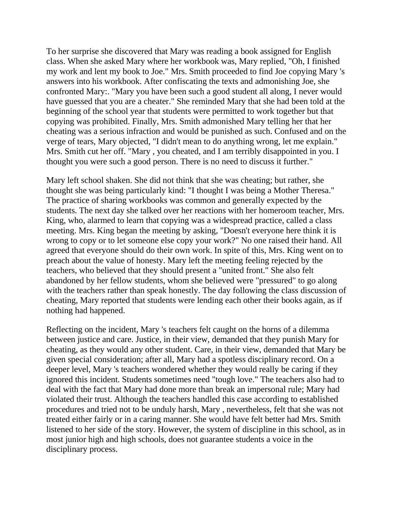To her surprise she discovered that Mary was reading a book assigned for English class. When she asked Mary where her workbook was, Mary replied, "Oh, I finished my work and lent my book to Joe." Mrs. Smith proceeded to find Joe copying Mary 's answers into his workbook. After confiscating the texts and admonishing Joe, she confronted Mary:. "Mary you have been such a good student all along, I never would have guessed that you are a cheater." She reminded Mary that she had been told at the beginning of the school year that students were permitted to work together but that copying was prohibited. Finally, Mrs. Smith admonished Mary telling her that her cheating was a serious infraction and would be punished as such. Confused and on the verge of tears, Mary objected, "I didn't mean to do anything wrong, let me explain." Mrs. Smith cut her off. "Mary , you cheated, and I am terribly disappointed in you. I thought you were such a good person. There is no need to discuss it further."

Mary left school shaken. She did not think that she was cheating; but rather, she thought she was being particularly kind: "I thought I was being a Mother Theresa." The practice of sharing workbooks was common and generally expected by the students. The next day she talked over her reactions with her homeroom teacher, Mrs. King, who, alarmed to learn that copying was a widespread practice, called a class meeting. Mrs. King began the meeting by asking, "Doesn't everyone here think it is wrong to copy or to let someone else copy your work?" No one raised their hand. All agreed that everyone should do their own work. In spite of this, Mrs. King went on to preach about the value of honesty. Mary left the meeting feeling rejected by the teachers, who believed that they should present a "united front." She also felt abandoned by her fellow students, whom she believed were "pressured" to go along with the teachers rather than speak honestly. The day following the class discussion of cheating, Mary reported that students were lending each other their books again, as if nothing had happened.

Reflecting on the incident, Mary 's teachers felt caught on the horns of a dilemma between justice and care. Justice, in their view, demanded that they punish Mary for cheating, as they would any other student. Care, in their view, demanded that Mary be given special consideration; after all, Mary had a spotless disciplinary record. On a deeper level, Mary 's teachers wondered whether they would really be caring if they ignored this incident. Students sometimes need "tough love." The teachers also had to deal with the fact that Mary had done more than break an impersonal rule; Mary had violated their trust. Although the teachers handled this case according to established procedures and tried not to be unduly harsh, Mary , nevertheless, felt that she was not treated either fairly or in a caring manner. She would have felt better had Mrs. Smith listened to her side of the story. However, the system of discipline in this school, as in most junior high and high schools, does not guarantee students a voice in the disciplinary process.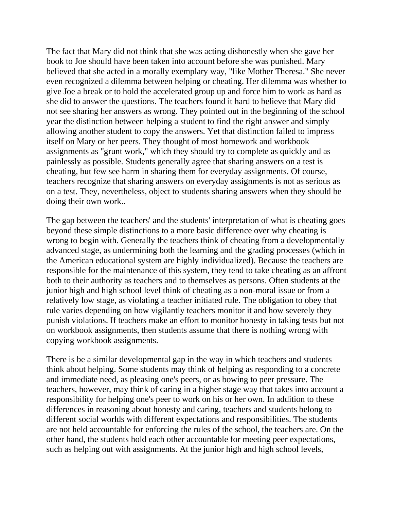The fact that Mary did not think that she was acting dishonestly when she gave her book to Joe should have been taken into account before she was punished. Mary believed that she acted in a morally exemplary way, "like Mother Theresa." She never even recognized a dilemma between helping or cheating. Her dilemma was whether to give Joe a break or to hold the accelerated group up and force him to work as hard as she did to answer the questions. The teachers found it hard to believe that Mary did not see sharing her answers as wrong. They pointed out in the beginning of the school year the distinction between helping a student to find the right answer and simply allowing another student to copy the answers. Yet that distinction failed to impress itself on Mary or her peers. They thought of most homework and workbook assignments as "grunt work," which they should try to complete as quickly and as painlessly as possible. Students generally agree that sharing answers on a test is cheating, but few see harm in sharing them for everyday assignments. Of course, teachers recognize that sharing answers on everyday assignments is not as serious as on a test. They, nevertheless, object to students sharing answers when they should be doing their own work..

The gap between the teachers' and the students' interpretation of what is cheating goes beyond these simple distinctions to a more basic difference over why cheating is wrong to begin with. Generally the teachers think of cheating from a developmentally advanced stage, as undermining both the learning and the grading processes (which in the American educational system are highly individualized). Because the teachers are responsible for the maintenance of this system, they tend to take cheating as an affront both to their authority as teachers and to themselves as persons. Often students at the junior high and high school level think of cheating as a non-moral issue or from a relatively low stage, as violating a teacher initiated rule. The obligation to obey that rule varies depending on how vigilantly teachers monitor it and how severely they punish violations. If teachers make an effort to monitor honesty in taking tests but not on workbook assignments, then students assume that there is nothing wrong with copying workbook assignments.

There is be a similar developmental gap in the way in which teachers and students think about helping. Some students may think of helping as responding to a concrete and immediate need, as pleasing one's peers, or as bowing to peer pressure. The teachers, however, may think of caring in a higher stage way that takes into account a responsibility for helping one's peer to work on his or her own. In addition to these differences in reasoning about honesty and caring, teachers and students belong to different social worlds with different expectations and responsibilities. The students are not held accountable for enforcing the rules of the school, the teachers are. On the other hand, the students hold each other accountable for meeting peer expectations, such as helping out with assignments. At the junior high and high school levels,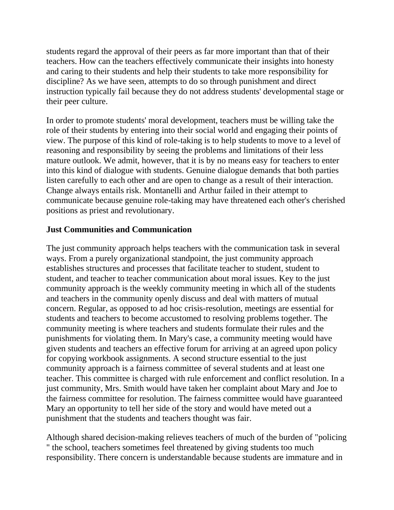students regard the approval of their peers as far more important than that of their teachers. How can the teachers effectively communicate their insights into honesty and caring to their students and help their students to take more responsibility for discipline? As we have seen, attempts to do so through punishment and direct instruction typically fail because they do not address students' developmental stage or their peer culture.

In order to promote students' moral development, teachers must be willing take the role of their students by entering into their social world and engaging their points of view. The purpose of this kind of role-taking is to help students to move to a level of reasoning and responsibility by seeing the problems and limitations of their less mature outlook. We admit, however, that it is by no means easy for teachers to enter into this kind of dialogue with students. Genuine dialogue demands that both parties listen carefully to each other and are open to change as a result of their interaction. Change always entails risk. Montanelli and Arthur failed in their attempt to communicate because genuine role-taking may have threatened each other's cherished positions as priest and revolutionary.

#### **Just Communities and Communication**

The just community approach helps teachers with the communication task in several ways. From a purely organizational standpoint, the just community approach establishes structures and processes that facilitate teacher to student, student to student, and teacher to teacher communication about moral issues. Key to the just community approach is the weekly community meeting in which all of the students and teachers in the community openly discuss and deal with matters of mutual concern. Regular, as opposed to ad hoc crisis-resolution, meetings are essential for students and teachers to become accustomed to resolving problems together. The community meeting is where teachers and students formulate their rules and the punishments for violating them. In Mary's case, a community meeting would have given students and teachers an effective forum for arriving at an agreed upon policy for copying workbook assignments. A second structure essential to the just community approach is a fairness committee of several students and at least one teacher. This committee is charged with rule enforcement and conflict resolution. In a just community, Mrs. Smith would have taken her complaint about Mary and Joe to the fairness committee for resolution. The fairness committee would have guaranteed Mary an opportunity to tell her side of the story and would have meted out a punishment that the students and teachers thought was fair.

Although shared decision-making relieves teachers of much of the burden of "policing " the school, teachers sometimes feel threatened by giving students too much responsibility. There concern is understandable because students are immature and in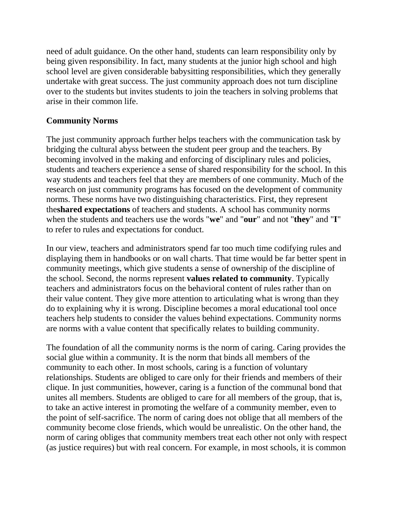need of adult guidance. On the other hand, students can learn responsibility only by being given responsibility. In fact, many students at the junior high school and high school level are given considerable babysitting responsibilities, which they generally undertake with great success. The just community approach does not turn discipline over to the students but invites students to join the teachers in solving problems that arise in their common life.

#### **Community Norms**

The just community approach further helps teachers with the communication task by bridging the cultural abyss between the student peer group and the teachers. By becoming involved in the making and enforcing of disciplinary rules and policies, students and teachers experience a sense of shared responsibility for the school. In this way students and teachers feel that they are members of one community. Much of the research on just community programs has focused on the development of community norms. These norms have two distinguishing characteristics. First, they represent the**shared expectations** of teachers and students. A school has community norms when the students and teachers use the words "**we**" and "**our**" and not "**they**" and "**I**" to refer to rules and expectations for conduct.

In our view, teachers and administrators spend far too much time codifying rules and displaying them in handbooks or on wall charts. That time would be far better spent in community meetings, which give students a sense of ownership of the discipline of the school. Second, the norms represent **values related to community**. Typically teachers and administrators focus on the behavioral content of rules rather than on their value content. They give more attention to articulating what is wrong than they do to explaining why it is wrong. Discipline becomes a moral educational tool once teachers help students to consider the values behind expectations. Community norms are norms with a value content that specifically relates to building community.

The foundation of all the community norms is the norm of caring. Caring provides the social glue within a community. It is the norm that binds all members of the community to each other. In most schools, caring is a function of voluntary relationships. Students are obliged to care only for their friends and members of their clique. In just communities, however, caring is a function of the communal bond that unites all members. Students are obliged to care for all members of the group, that is, to take an active interest in promoting the welfare of a community member, even to the point of self-sacrifice. The norm of caring does not oblige that all members of the community become close friends, which would be unrealistic. On the other hand, the norm of caring obliges that community members treat each other not only with respect (as justice requires) but with real concern. For example, in most schools, it is common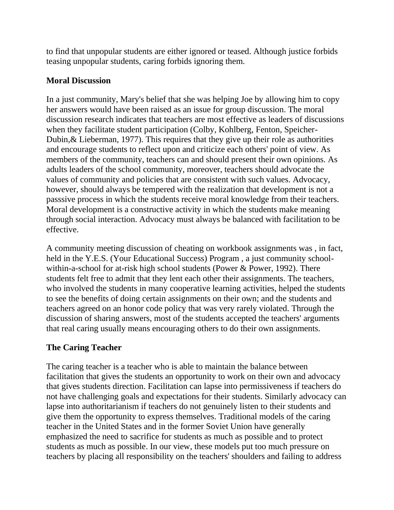to find that unpopular students are either ignored or teased. Although justice forbids teasing unpopular students, caring forbids ignoring them.

#### **Moral Discussion**

In a just community, Mary's belief that she was helping Joe by allowing him to copy her answers would have been raised as an issue for group discussion. The moral discussion research indicates that teachers are most effective as leaders of discussions when they facilitate student participation (Colby, Kohlberg, Fenton, Speicher-Dubin,& Lieberman, 1977). This requires that they give up their role as authorities and encourage students to reflect upon and criticize each others' point of view. As members of the community, teachers can and should present their own opinions. As adults leaders of the school community, moreover, teachers should advocate the values of community and policies that are consistent with such values. Advocacy, however, should always be tempered with the realization that development is not a passsive process in which the students receive moral knowledge from their teachers. Moral development is a constructive activity in which the students make meaning through social interaction. Advocacy must always be balanced with facilitation to be effective.

A community meeting discussion of cheating on workbook assignments was , in fact, held in the Y.E.S. (Your Educational Success) Program , a just community schoolwithin-a-school for at-risk high school students (Power & Power, 1992). There students felt free to admit that they lent each other their assignments. The teachers, who involved the students in many cooperative learning activities, helped the students to see the benefits of doing certain assignments on their own; and the students and teachers agreed on an honor code policy that was very rarely violated. Through the discussion of sharing answers, most of the students accepted the teachers' arguments that real caring usually means encouraging others to do their own assignments.

# **The Caring Teacher**

The caring teacher is a teacher who is able to maintain the balance between facilitation that gives the students an opportunity to work on their own and advocacy that gives students direction. Facilitation can lapse into permissiveness if teachers do not have challenging goals and expectations for their students. Similarly advocacy can lapse into authoritarianism if teachers do not genuinely listen to their students and give them the opportunity to express themselves. Traditional models of the caring teacher in the United States and in the former Soviet Union have generally emphasized the need to sacrifice for students as much as possible and to protect students as much as possible. In our view, these models put too much pressure on teachers by placing all responsibility on the teachers' shoulders and failing to address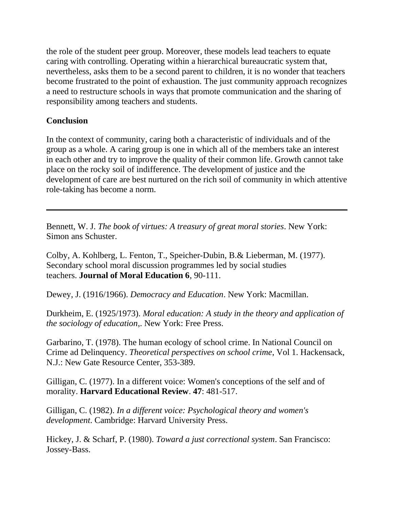the role of the student peer group. Moreover, these models lead teachers to equate caring with controlling. Operating within a hierarchical bureaucratic system that, nevertheless, asks them to be a second parent to children, it is no wonder that teachers become frustrated to the point of exhaustion. The just community approach recognizes a need to restructure schools in ways that promote communication and the sharing of responsibility among teachers and students.

#### **Conclusion**

In the context of community, caring both a characteristic of individuals and of the group as a whole. A caring group is one in which all of the members take an interest in each other and try to improve the quality of their common life. Growth cannot take place on the rocky soil of indifference. The development of justice and the development of care are best nurtured on the rich soil of community in which attentive role-taking has become a norm.

Bennett, W. J. *The book of virtues: A treasury of great moral stories*. New York: Simon ans Schuster.

Colby, A. Kohlberg, L. Fenton, T., Speicher-Dubin, B.& Lieberman, M. (1977). Secondary school moral discussion programmes led by social studies teachers. **Journal of Moral Education 6**, 90-111.

Dewey, J. (1916/1966). *Democracy and Education*. New York: Macmillan.

Durkheim, E. (1925/1973). *Moral education: A study in the theory and application of the sociology of education*,. New York: Free Press.

Garbarino, T. (1978). The human ecology of school crime. In National Council on Crime ad Delinquency. *Theoretical perspectives on school crime*, Vol 1. Hackensack, N.J.: New Gate Resource Center, 353-389.

Gilligan, C. (1977). In a different voice: Women's conceptions of the self and of morality. **Harvard Educational Review**. **47**: 481-517.

Gilligan, C. (1982). *In a different voice: Psychological theory and women's development*. Cambridge: Harvard University Press.

Hickey, J. & Scharf, P. (1980). *Toward a just correctional system*. San Francisco: Jossey-Bass.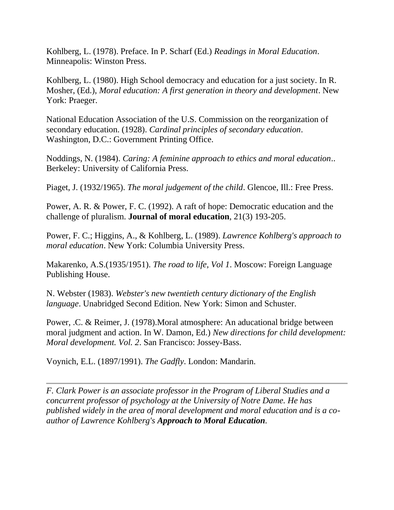Kohlberg, L. (1978). Preface. In P. Scharf (Ed.) *Readings in Moral Education*. Minneapolis: Winston Press.

Kohlberg, L. (1980). High School democracy and education for a just society. In R. Mosher, (Ed.), *Moral education: A first generation in theory and development*. New York: Praeger.

National Education Association of the U.S. Commission on the reorganization of secondary education. (1928). *Cardinal principles of secondary education*. Washington, D.C.: Government Printing Office.

Noddings, N. (1984). *Caring: A feminine approach to ethics and moral education*.. Berkeley: University of California Press.

Piaget, J. (1932/1965). *The moral judgement of the child*. Glencoe, Ill.: Free Press.

Power, A. R. & Power, F. C. (1992). A raft of hope: Democratic education and the challenge of pluralism. **Journal of moral education**, 21(3) 193-205.

Power, F. C.; Higgins, A., & Kohlberg, L. (1989). *Lawrence Kohlberg's approach to moral education*. New York: Columbia University Press.

Makarenko, A.S.(1935/1951). *The road to life, Vol 1*. Moscow: Foreign Language Publishing House.

N. Webster (1983). *Webster's new twentieth century dictionary of the English language*. Unabridged Second Edition. New York: Simon and Schuster.

Power, .C. & Reimer, J. (1978).Moral atmosphere: An aducational bridge between moral judgment and action. In W. Damon, Ed.) *New directions for child development: Moral development. Vol. 2*. San Francisco: Jossey-Bass.

Voynich, E.L. (1897/1991). *The Gadfly*. London: Mandarin.

*F. Clark Power is an associate professor in the Program of Liberal Studies and a concurrent professor of psychology at the University of Notre Dame. He has published widely in the area of moral development and moral education and is a coauthor of Lawrence Kohlberg's Approach to Moral Education.*